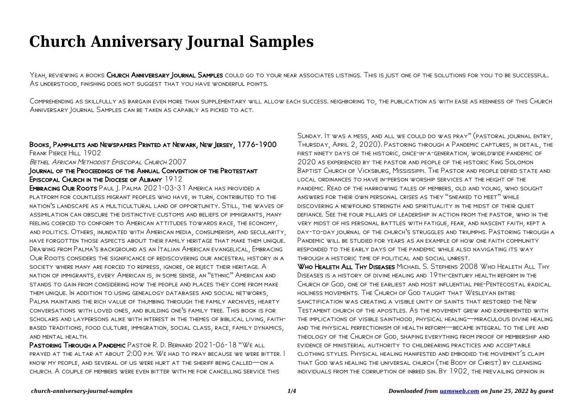# **Church Anniversary Journal Samples**

YEAH, REVIEWING A BOOKS CHURCH ANNIVERSARY JOURNAL SAMPLES COULD GO TO YOUR NEAR ASSOCIATES LISTINGS. THIS IS JUST ONE OF THE SOLUTIONS FOR YOU TO BE SUCCESSFUL. As understood, finishing does not suggest that you have wonderful points.

Comprehending as skillfully as bargain even more than supplementary will allow each success. neighboring to, the publication as with ease as keenness of this Church Anniversary Journal Samples can be taken as capably as picked to act.

### Books, Pamphlets and Newspapers Printed at Newark, New Jersey, 1776-1900 FRANK PIERCE HILL 1902 Bethel African Methodist Episcopal Church 2007

# Journal of the Proceedings of the Annual Convention of the Protestant Episcopal Church in the Diocese of Albany 1912

Embracing Our Roots Paul J. Palma 2021-03-31 America has provided a platform for countless migrant peoples who have, in turn, contributed to the nation's landscape as a multicultural land of opportunity. Still, the waves of assimilation can obscure the distinctive customs and beliefs of immigrants, many feeling coerced to conform to American attitudes towards race, the economy, and politics. Others, inundated with American media, consumerism, and secularity, have forgotten those aspects about their family heritage that make them unique. Drawing from Palma's background as an Italian American evangelical, Embracing Our Roots considers the significance of rediscovering our ancestral history in a society where many are forced to repress, ignore, or reject their heritage. A nation of immigrants, every American is, in some sense, an "ethnic" American and stands to gain from considering how the people and places they come from make them unique. In addition to using genealogy databases and social networks, Palma maintains the rich value of thumbing through the family archives, hearty conversations with loved ones, and building one's family tree. This book is for scholars and laypersons alike with interest in the themes of biblical living, faithbased traditions, food culture, immigration, social class, race, family dynamics, AND MENTAL HEALTH.

Pastoring Through a Pandemic Pastor R. D. Bernard 2021-06-18 "We all prayed at the altar at about 2:00 p.m. We had to pray because we were bitter. I know my people, and several of us were hurt at the sheriff being called—on a church. A couple of members were even bitter with me for cancelling service this

Sunday. It was a mess, and all we could do was pray" (pastoral journal entry, Thursday, April 2, 2020). Pastoring through a Pandemic captures, in detail, the first ninety days of the historic, once-in-a-generation, worldwide pandemic of 2020 as experienced by the pastor and people of the historic King Solomon Baptist Church of Vicksburg, Mississippi. The Pastor and people defied state and local ordinances to have in-person worship services at the height of the pandemic. Read of the harrowing tales of members, old and young, who sought answers for their own personal crises as they "sneaked to meet" while discovering a newfound strength and spirituality in the midst of their quiet defiance. See the four pillars of leadership in action from the pastor, who in the very midst of his personal battles with fatigue, fear, and nascent faith, kept a day-to-day journal of the church's struggles and triumphs. Pastoring through a Pandemic will be studied for years as an example of how one faith community responded to the early days of the pandemic while also navigating its way through a historic time of political and social unrest.

Who Healeth All Thy Diseases Michael S. Stephens 2008 Who Healeth All Thy Diseases is a history of divine healing and 19th-century health reform in the Church of God, one of the earliest and most influential pre-Pentecostal radical holiness movements. The Church of God taught that Wesleyan entire sanctification was creating a visible unity of saints that restored the New Testament church of the apostles. As the movement grew and experimented with the implications of visible sainthood, physical healing—miraculous divine healing and the physical perfectionism of health reform—became integral to the life and theology of the Church of God, shaping everything from proof of membership and evidence of ministerial authority to childrearing practices and acceptable clothing styles. Physical healing manifested and embodied the movement's claim that God was healing the universal church (the Body of Christ) by cleansing individuals from the corruption of inbred sin. By 1902, the prevailing opinion in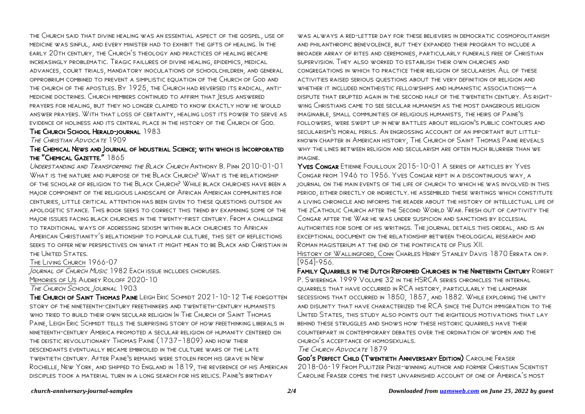the Church said that divine healing was an essential aspect of the gospel, use of medicine was sinful, and every minister had to exhibit the gifts of healing. In the early 20th century, the Church's theology and practices of healing became increasingly problematic. Tragic failures of divine healing, epidemics, medical advances, court trials, mandatory inoculations of schoolchildren, and general opprobrium combined to prevent a simplistic equation of the Church of God and the church of the apostles. By 1925, the Church had reversed its radical, antimedicine doctrines. Church members continued to affirm that Jesus answered prayers for healing, but they no longer claimed to know exactly how he would answer prayers. With that loss of certainty, healing lost its power to serve as evidence of holiness and its central place in the history of the Church of God.

#### The Church School Herald-journal 1983

THE CHRISTIAN ADVOCATE 1909

## The Chemical News and Journal of Industrial Science; with which is Incorporated the "Chemical Gazette." 1865

Understanding and Transforming the Black Church Anthony B. Pinn 2010-01-01 WHAT IS THE NATURE AND PURPOSE OF THE BLACK CHURCH? WHAT IS THE RELATIONSHIP of the scholar of religion to the Black Church? While black churches have been a major component of the religious landscape of African American communities for centuries, little critical attention has been given to these questions outside an apologetic stance. This book seeks to correct this trend by examining some of the major issues facing black churches in the twenty-first century. From a challenge to traditional ways of addressing sexism within black churches to African American Christianity's relationship to popular culture, this set of reflections seeks to offer new perspectives on what it might mean to be Black and Christian in the United States.

The Living Church 1966-07 Journal of Church Music 1982 Each issue includes choruses. Memories of Us Audrey Roloff 2020-10

The Church School Journal 1903

The Church of Saint Thomas Paine Leigh Eric Schmidt 2021-10-12 The forgotten story of the nineteenth-century freethinkers and twentieth-century humanists who tried to build their own secular religion In The Church of Saint Thomas Paine, Leigh Eric Schmidt tells the surprising story of how freethinking liberals in nineteenth-century America promoted a secular religion of humanity centered on the deistic revolutionary Thomas Paine (1737–1809) and how their descendants eventually became embroiled in the culture wars of the late twentieth century. After Paine's remains were stolen from his grave in New Rochelle, New York, and shipped to England in 1819, the reverence of his American disciples took a material turn in a long search for his relics. Paine's birthday

was always a red-letter day for these believers in democratic cosmopolitanism and philanthropic benevolence, but they expanded their program to include a broader array of rites and ceremonies, particularly funerals free of Christian supervision. They also worked to establish their own churches and congregations in which to practice their religion of secularism. All of these activities raised serious questions about the very definition of religion and whether it included nontheistic fellowships and humanistic associations—a dispute that erupted again in the second half of the twentieth century. As rightwing Christians came to see secular humanism as the most dangerous religion imaginable, small communities of religious humanists, the heirs of Paine's followers, were swept up in new battles about religion's public contours and secularism's moral perils. An engrossing account of an important but littleknown chapter in American history, The Church of Saint Thomas Paine reveals why the lines between religion and secularism are often much blurrier than we imagine.

Yves Congar Etienne Fouilloux 2015-10-01 A series of articles by Yves Congar from 1946 to 1956. Yves Congar kept in a discontinuous way, a journal on the main events of the life of church to which he was involved in this period, either directly or indirectly. he assembled these writings which constitute a living chronicle and informs the reader about the history of intellectual life of the zCatholic Church after the Second World War. Fresh out of captivity the CONGAR AFTER THE WAR HE WAS UNDER SUSPICION AND SANCTIONS BY ECCLESIAL authorities for some of his writings. The journal details this ordeal, and is an exceptional document on the relationship between theological research and Roman magisterium at the end of the pontificate of Pius XII.

History of Wallingford, Conn Charles Henry Stanley Davis 1870 Errata on p. [954]-956.

Family Quarrels in the Dutch Reformed Churches in the Nineteenth Century Robert P. Swierenga 1999 Volume 32 in the HSRCA series chronicles the internal quarrels that have occurred in RCA history, particularly the landmark secessions that occurred in 1850, 1857, and 1882. While exploring the unity and disunity that have characterized the RCA since the Dutch immigration to the United States, this study also points out the righteous motivations that lay behind these struggles and shows how these historic quarrels have their counterpart in contemporary debates over the ordination of women and the church's acceptance of homosexuals.

#### The Church Advocate 1879

God's Perfect Child (Twentieth Anniversary Edition) Caroline Fraser 2018-06-19 From Pulitzer Prize-winning author and former Christian Scientist Caroline Fraser comes the first unvarnished account of one of America's most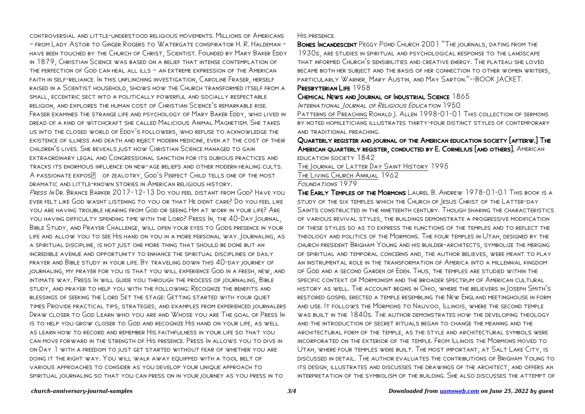controversial and little-understood religious movements. Millions of Americans – from Lady Astor to Ginger Rogers to Watergate conspirator H. R. Haldeman – have been touched by the Church of Christ, Scientist. Founded by Mary Baker Eddy in 1879, Christian Science was based on a belief that intense contemplation of the perfection of God can heal all ills – an extreme expression of the American faith in self-reliance. In this unflinching investigation, Caroline Fraser, herself raised in a Scientist household, shows how the Church transformed itself from a small, eccentric sect into a politically powerful and socially respectable religion, and explores the human cost of Christian Science's remarkable rise. Fraser examines the strange life and psychology of Mary Baker Eddy, who lived in dread of a kind of witchcraft she called Malicious Animal Magnetism. She takes us into the closed world of Eddy's followers, who refuse to acknowledge the existence of illness and death and reject modern medicine, even at the cost of their children's lives. She reveals just how Christian Science managed to gain extraordinary legal and Congressional sanction for its dubious practices and tracks its enormous influence on new-age beliefs and other modern healing cults. A PASSIONATE EXPOS OF ZEALOTRY, GOD'S PERFECT CHILD TELLS ONE OF THE MOST dramatic and little-known stories in American religious history.

Press In Dr. Brance Barker 2017-12-13 Do you feel distant from God? Have you ever felt like God wasnt listening to you or that He didnt care? Do you feel like you are having trouble hearing from God or seeing Him at work in your life? Are you having difficulty spending time with the Lord? Press In, the 40-Day Journal, Bible Study, and Prayer Challenge, will open your eyes to Gods presence in your life and allow you to see His hand on you in a more personal way. Journaling, as a spiritual discipline, is not just one more thing that should be done but an incredible avenue and opportunity to enhance the spiritual disciplines of daily prayer and Bible study in your life. By traveling down this 40-day journey of journaling, my prayer for you is that you will experience God in a fresh, new, and intimate way. Press In will guide you through the process of journaling, Bible study, and prayer to help you with the following: Recognize the benefits and blessings of seeking the Lord Set the stage: Getting started with your quiet times Provide practical tips, strategies, and examples from experienced journalers Draw closer to God Learn who you are and Whose you are The goal of Press In is to help you grow closer to God and recognize His hand on your life, as well as learn how to record and remember His faithfulness in your life so that you can move forward in the strength of His presence. Press In allows you to dive in on Day 1 with a freedom to just get started without fear of whether you are doing it the right way. You will walk away equipped with a tool belt of various approaches to consider as you develop your unique approach to spiritual journaling so that you can press on in your journey as you press in to

His presence.

Bones Incandescent Peggy Pond Church 2001 "The journals, dating from the 1930s, are studies in spiritual and psychological response to the landscape that informed Church's sensibilities and creative energy. The plateau she loved became both her subject and the basis of her connection to other women writers, particularly Warner, Mary Austin, and May Sarton."--BOOK JACKET.

## PRESBYTERIAN LIFE 1958

#### Chemical News and Journal of Industrial Science 1865

INTERNATIONAL JOURNAL OF RELIGIOUS EDUCATION 1950

PATTERNS OF PREACHING RONALD 1. ALLEN 1998-01-01 THIS COLLECTION OF SERMONS by noted homileticians illustrates thirty-four distinct styles of contemporary and traditional preaching.

## Quarterly register and journal of the American education society [afterw.] The American quarterly register, conducted by E. Cornelius [and others]. American education society 1842

The Journal of Latter Day Saint History 1995

The Living Church Annual 1962

Foundations 1979

The Early Temples of the Mormons Laurel B. Andrew 1978-01-01 This book is a study of the six temples which the Church of Jesus Christ of the Latter-day Saints constructed in the nineteenth century. Though sharing the characteristics of various revival styles, the buildings demonstrate a progressive modification of these styles so as to express the functions of the temples and to reflect the theology and politics of the Mormons. The four temples in Utah, designed by the church president Brigham Young and his builder-architects, symbolize the merging of spiritual and temporal concerns and, the author believes, were meant to play an instrumental role in the transformation of America into a millennial kingdom of God and a second Garden of Eden. Thus, the temples are studied within the specific context of Mormonism and the broader spectrum of American cultural history as well. The account begins in Ohio, where the believers in Joseph Smith's restored gospel erected a temple resembling the New England meetinghouse in form and use. It follows the Mormons to Nauvoo, Illinois, where the second temple was built in the 1840s. The author demonstrates how the developing theology and the introduction of secret rituals began to change the meaning and the architectural form of the temple, as the style and architectural symbols were incorporated on the exterior of the temple. From Illinois the Mormons moved to Utah, where four temples were built. The most important, at Salt Lake City, is discussed in detail. The author evaluates the contributions of Brigham Young to its design, illustrates and discusses the drawings of the architect, and offers an interpretation of the symbolism of the building. She also discusses the attempt of